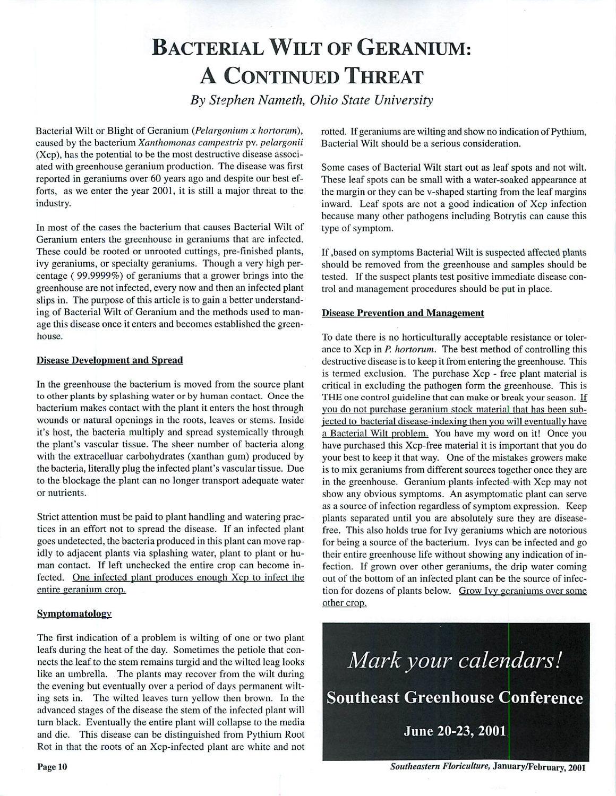# BACTERIAL WILT OF GERANIUM: A CONTINUED THREAT

**By Stephen Nameth, Ohio State University**

Bacterial Wilt or Blight of Geranium **{Pelargonium x hortorum),** caused by the bacterium **Xanthomonas campestris** pv. **pelargonii** (Xcp), has the potential to be the most destructive disease associ ated with greenhouse geranium production. The disease was first reported in geraniums over 60 years ago and despite our best ef forts, as we enter the year 2001, it is still a major threat to the industry.

In most of the cases the bacterium that causes Bacterial Wilt of Geranium enters the greenhouse in geraniums that are infected. These could be rooted or unrooted cuttings, pre-finished plants, ivy geraniums, or specialty geraniums. Though a very high per centage ( 99.9999%) of geraniums that a grower brings into the greenhouse are not infected, every now and then an infected plant slips in. The purpose of this article is to gain a better understand ing of Bacterial Wilt of Geranium and the methods used to man age this disease once it enters and becomes established the green house.

#### *Disease Development and Spread*

*In* the greenhouse the bacterium is moved from the source plant to other plants by splashing water or by human contact. Once the bacterium makes contact with the plant it enters the host through wounds or natural openings in the roots, leaves or stems. Inside it's host, the bacteria multiply and spread systemically through the plant's vascular tissue. The sheer number of bacteria along with the extracelluar carbohydrates (xanthan gum) produced by the bacteria, literally plug the infected plant's vascular tissue. Due to the blockage the plant can no longer transport adequate water or nutrients.

Strict attention must be paid to plant handling and watering prac tices in an effort not to spread the disease. If an infected plant goes undetected, the bacteria produced in this plant can move rap idly to adjacent plants via splashing water, plant to plant or hu man contact. If left unchecked the entire crop can become in fected. One infected plant produces enough Xcp to infect the entire geranium crop.

#### *Symptomatology*

The first indication of a problem is wilting of one or two plant leafs during the heat of the day. Sometimes the petiole that con nects the leaf to the stem remains turgid and the wilted leag looks like an umbrella. The plants may recover from the wilt during the evening but eventually over a period of days permanent wilt ing sets in. The wilted leaves turn yellow then brown. In the advanced stages of the disease the stem of the infected plant will turn black. Eventually the entire plant will collapse to the media and die. This disease can be distinguished from Pythium Root Rot in that the roots of an Xcp-infected plant are white and not

rotted. If geraniums are wilting and show no indication of Pythium, Bacterial Wilt should be a serious consideration.

Some cases of Bacterial Wilt start out as leaf spots and not wilt. These leaf spots can be small with a water-soaked appearance at the margin or they can be v-shaped starting from the leaf margins inward. Leaf spots are not a good indication of Xcp infection because many other pathogens including Botrytis can cause this type of symptom.

If ,based on symptoms Bacterial Wilt is suspected affected plants should be removed from the greenhouse and samples should be tested. If the suspect plants test positive immediate disease con trol and management procedures should be put in place.

#### *Disease Prevention and Management*

To date there is no horticulturally acceptable resistance or toler ance to Xcp in **P. hortorum.** The best method of controlling this destructive disease is to keep it from entering the greenhouse. This is termed exclusion. The purchase Xcp - free plant material is critical in excluding the pathogen form the greenhouse. This is THE one control guideline that can make or break your season. If you do not purchase geranium stock material that has been sub jected to bacterial disease-indexing then you will eventually have a Bacterial Wilt problem. You have my word on it! Once you have purchased this Xcp-free material it is important that you do your best to keep it that way. One of the mistakes growers make is to mix geraniums from different sources together once they are in the greenhouse. Geranium plants infected with Xcp may not show any obvious symptoms. An asymptomatic plant can serve as a source of infection regardless of symptom expression. Keep plants separated until you are absolutely sure they are diseasefree. This also holds true for Ivy geraniums which are notorious for being a source of the bacterium. Ivys can be infected and go their entire greenhouse life without showing any indication of in fection. If grown over other geraniums, the drip water coming out of the bottom of an infected plant can be the source of infec tion for dozens of plants below. Grow Ivy geraniums over some other crop.

**Mark your calendars!** Southeast Greenhouse Conference June 20-23, 2001

**Southeastern Floriculture,** January/February, 2001